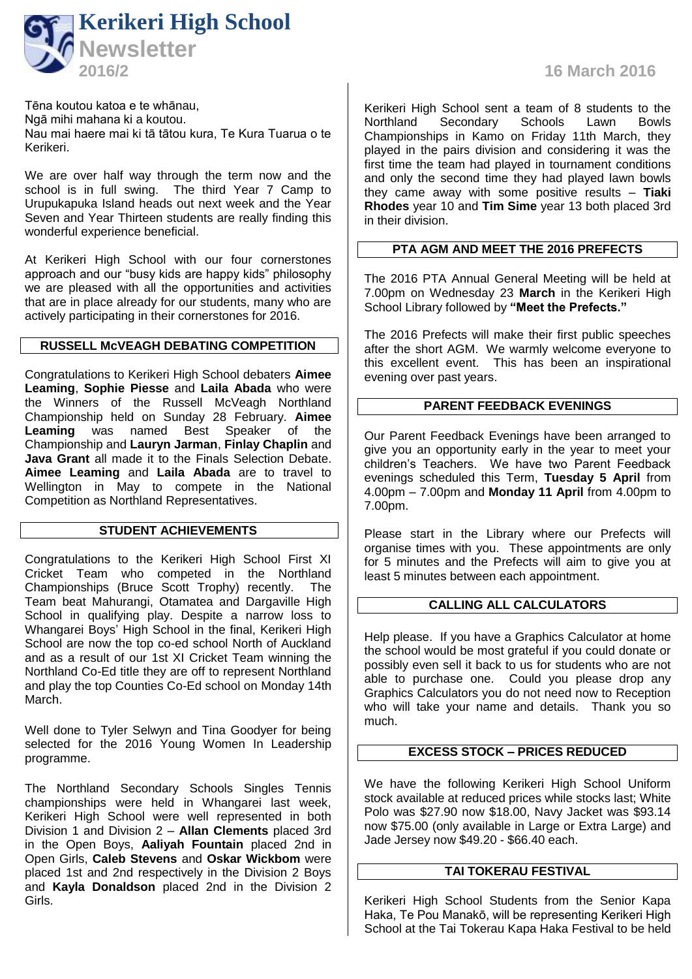

Tēna koutou katoa e te whānau, Ngā mihi mahana ki a koutou. Nau mai haere mai ki tā tātou kura, Te Kura Tuarua o te Kerikeri.

We are over half way through the term now and the school is in full swing. The third Year 7 Camp to Urupukapuka Island heads out next week and the Year Seven and Year Thirteen students are really finding this wonderful experience beneficial.

At Kerikeri High School with our four cornerstones approach and our "busy kids are happy kids" philosophy we are pleased with all the opportunities and activities that are in place already for our students, many who are actively participating in their cornerstones for 2016.

#### **RUSSELL McVEAGH DEBATING COMPETITION**

Congratulations to Kerikeri High School debaters **Aimee Leaming**, **Sophie Piesse** and **Laila Abada** who were the Winners of the Russell McVeagh Northland Championship held on Sunday 28 February. **Aimee Leaming** was named Best Speaker of the Championship and **Lauryn Jarman**, **Finlay Chaplin** and **Java Grant** all made it to the Finals Selection Debate. **Aimee Leaming** and **Laila Abada** are to travel to Wellington in May to compete in the National Competition as Northland Representatives.

### **STUDENT ACHIEVEMENTS**

Congratulations to the Kerikeri High School First XI Cricket Team who competed in the Northland Championships (Bruce Scott Trophy) recently. The Team beat Mahurangi, Otamatea and Dargaville High School in qualifying play. Despite a narrow loss to Whangarei Boys' High School in the final, Kerikeri High School are now the top co-ed school North of Auckland and as a result of our 1st XI Cricket Team winning the Northland Co-Ed title they are off to represent Northland and play the top Counties Co-Ed school on Monday 14th March.

Well done to Tyler Selwyn and Tina Goodyer for being selected for the 2016 Young Women In Leadership programme.

The Northland Secondary Schools Singles Tennis championships were held in Whangarei last week, Kerikeri High School were well represented in both Division 1 and Division 2 – **Allan Clements** placed 3rd in the Open Boys, **Aaliyah Fountain** placed 2nd in Open Girls, **Caleb Stevens** and **Oskar Wickbom** were placed 1st and 2nd respectively in the Division 2 Boys and **Kayla Donaldson** placed 2nd in the Division 2 Girls.

**2016/2 16 March 2016**

Kerikeri High School sent a team of 8 students to the<br>Northland Secondary Schools Lawn Bowls Secondary Championships in Kamo on Friday 11th March, they played in the pairs division and considering it was the first time the team had played in tournament conditions and only the second time they had played lawn bowls they came away with some positive results – **Tiaki Rhodes** year 10 and **Tim Sime** year 13 both placed 3rd in their division.

#### **PTA AGM AND MEET THE 2016 PREFECTS**

The 2016 PTA Annual General Meeting will be held at 7.00pm on Wednesday 23 **March** in the Kerikeri High School Library followed by **"Meet the Prefects."**

The 2016 Prefects will make their first public speeches after the short AGM. We warmly welcome everyone to this excellent event. This has been an inspirational evening over past years.

#### **PARENT FEEDBACK EVENINGS**

Our Parent Feedback Evenings have been arranged to give you an opportunity early in the year to meet your children's Teachers. We have two Parent Feedback evenings scheduled this Term, **Tuesday 5 April** from 4.00pm – 7.00pm and **Monday 11 April** from 4.00pm to 7.00pm.

Please start in the Library where our Prefects will organise times with you. These appointments are only for 5 minutes and the Prefects will aim to give you at least 5 minutes between each appointment.

## **CALLING ALL CALCULATORS**

Help please. If you have a Graphics Calculator at home the school would be most grateful if you could donate or possibly even sell it back to us for students who are not able to purchase one. Could you please drop any Graphics Calculators you do not need now to Reception who will take your name and details. Thank you so much.

## **EXCESS STOCK – PRICES REDUCED**

We have the following Kerikeri High School Uniform stock available at reduced prices while stocks last; White Polo was \$27.90 now \$18.00, Navy Jacket was \$93.14 now \$75.00 (only available in Large or Extra Large) and Jade Jersey now \$49.20 - \$66.40 each.

## **TAI TOKERAU FESTIVAL**

Kerikeri High School Students from the Senior Kapa Haka, Te Pou Manakō, will be representing Kerikeri High School at the Tai Tokerau Kapa Haka Festival to be held